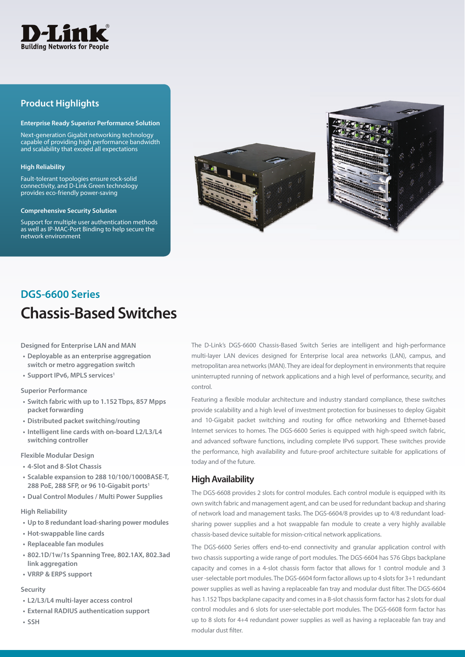

# **Product Highlights**

#### **Enterprise Ready Superior Performance Solution**

Next-generation Gigabit networking technology capable of providing high performance bandwidth and scalability that exceed all expectations

#### **High Reliability**

Fault-tolerant topologies ensure rock-solid connectivity, and D-Link Green technology provides eco-friendly power-saving

#### **Comprehensive Security Solution**

Support for multiple user authentication methods as well as IP-MAC-Port Binding to help secure the network environment



# **Chassis-Based Switches DGS-6600 Series**

**Designed for Enterprise LAN and MAN**

- **Deployable as an enterprise aggregation switch or metro aggregation switch**
- **Support IPv6, MPLS services1**

#### **Superior Performance**

- **Switch fabric with up to 1.152 Tbps, 857 Mpps packet forwarding**
- **Distributed packet switching/routing**
- **Intelligent line cards with on-board L2/L3/L4 switching controller**

**Flexible Modular Design**

- **4-Slot and 8-Slot Chassis**
- **Scalable expansion to 288 10/100/1000BASE-T, 288 PoE, 288 SFP, or 96 10-Gigabit ports1**
- **Dual Control Modules / Multi Power Supplies**

#### **High Reliability**

- **Up to 8 redundant load-sharing power modules**
- **Hot-swappable line cards**
- **Replaceable fan modules**
- **802.1D/1w/1s Spanning Tree, 802.1AX, 802.3ad link aggregation**
- **VRRP & ERPS support**

#### **Security**

- **L2/L3/L4 multi-layer access control**
- **External RADIUS authentication support**
- **SSH**

The D-Link's DGS-6600 Chassis-Based Switch Series are intelligent and high-performance multi-layer LAN devices designed for Enterprise local area networks (LAN), campus, and metropolitan area networks (MAN). They are ideal for deployment in environments that require uninterrupted running of network applications and a high level of performance, security, and control.

Featuring a flexible modular architecture and industry standard compliance, these switches provide scalability and a high level of investment protection for businesses to deploy Gigabit and 10-Gigabit packet switching and routing for office networking and Ethernet-based Internet services to homes. The DGS-6600 Series is equipped with high-speed switch fabric, and advanced software functions, including complete IPv6 support. These switches provide the performance, high availability and future-proof architecture suitable for applications of today and of the future.

#### **High Availability**

The DGS-6608 provides 2 slots for control modules. Each control module is equipped with its own switch fabric and management agent, and can be used for redundant backup and sharing of network load and management tasks. The DGS-6604/8 provides up to 4/8 redundant loadsharing power supplies and a hot swappable fan module to create a very highly available chassis-based device suitable for mission-critical network applications.

The DGS-6600 Series offers end-to-end connectivity and granular application control with two chassis supporting a wide range of port modules. The DGS-6604 has 576 Gbps backplane capacity and comes in a 4-slot chassis form factor that allows for 1 control module and 3 user -selectable port modules. The DGS-6604 form factor allows up to 4 slots for 3+1 redundant power supplies as well as having a replaceable fan tray and modular dust filter. The DGS-6604 has 1.152 Tbps backplane capacity and comes in a 8-slot chassis form factor has 2 slots for dual control modules and 6 slots for user-selectable port modules. The DGS-6608 form factor has up to 8 slots for 4+4 redundant power supplies as well as having a replaceable fan tray and modular dust filter.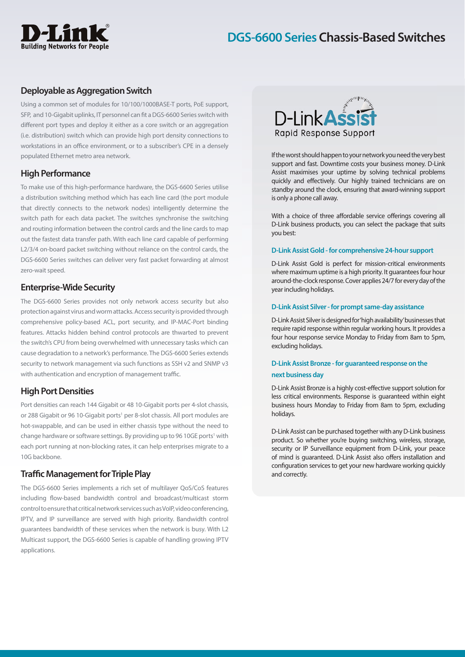# **Building Networks for People**

# **DGS-6600 Series Chassis-Based Switches**

## **Deployable as Aggregation Switch**

Using a common set of modules for 10/100/1000BASE-T ports, PoE support, SFP, and 10-Gigabit uplinks, IT personnel can fit a DGS-6600 Series switch with different port types and deploy it either as a core switch or an aggregation (i.e. distribution) switch which can provide high port density connections to workstations in an office environment, or to a subscriber's CPE in a densely populated Ethernet metro area network.

## **High Performance**

To make use of this high-performance hardware, the DGS-6600 Series utilise a distribution switching method which has each line card (the port module that directly connects to the network nodes) intelligently determine the switch path for each data packet. The switches synchronise the switching and routing information between the control cards and the line cards to map out the fastest data transfer path. With each line card capable of performing L2/3/4 on-board packet switching without reliance on the control cards, the DGS-6600 Series switches can deliver very fast packet forwarding at almost zero-wait speed.

## **Enterprise-Wide Security**

The DGS-6600 Series provides not only network access security but also protection against virus and worm attacks. Access security is provided through comprehensive policy-based ACL, port security, and IP-MAC-Port binding features. Attacks hidden behind control protocols are thwarted to prevent the switch's CPU from being overwhelmed with unnecessary tasks which can cause degradation to a network's performance. The DGS-6600 Series extends security to network management via such functions as SSH v2 and SNMP v3 with authentication and encryption of management traffic.

#### **High Port Densities**

Port densities can reach 144 Gigabit or 48 10-Gigabit ports per 4-slot chassis, or 288 Gigabit or 96 10-Gigabit ports<sup>1</sup> per 8-slot chassis. All port modules are hot-swappable, and can be used in either chassis type without the need to change hardware or software settings. By providing up to 96 10GE ports<sup>1</sup> with each port running at non-blocking rates, it can help enterprises migrate to a 10G backbone.

## **Traffic Management for Triple Play**

The DGS-6600 Series implements a rich set of multilayer QoS/CoS features including flow-based bandwidth control and broadcast/multicast storm control to ensure that critical network services such as VoIP, video conferencing, IPTV, and IP surveillance are served with high priority. Bandwidth control guarantees bandwidth of these services when the network is busy. With L2 Multicast support, the DGS-6600 Series is capable of handling growing IPTV applications.



If the worst should happen to your network you need the very best support and fast. Downtime costs your business money. D-Link Assist maximises your uptime by solving technical problems quickly and effectively. Our highly trained technicians are on standby around the clock, ensuring that award-winning support is only a phone call away.

With a choice of three affordable service offerings covering all D-Link business products, you can select the package that suits you best:

#### **D-Link Assist Gold - for comprehensive 24-hour support**

D-Link Assist Gold is perfect for mission-critical environments where maximum uptime is a high priority. It guarantees four hour around-the-clock response. Cover applies 24/7 for every day of the year including holidays.

#### **D-Link Assist Silver - for prompt same-day assistance**

D-Link Assist Silver is designed for 'high availability' businesses that require rapid response within regular working hours. It provides a four hour response service Monday to Friday from 8am to 5pm, excluding holidays.

## **D-Link Assist Bronze - for guaranteed response on the next business day**

D-Link Assist Bronze is a highly cost-effective support solution for less critical environments. Response is guaranteed within eight business hours Monday to Friday from 8am to 5pm, excluding holidays.

D-Link Assist can be purchased together with any D-Link business product. So whether you're buying switching, wireless, storage, security or IP Surveillance equipment from D-Link, your peace of mind is guaranteed. D-Link Assist also offers installation and configuration services to get your new hardware working quickly and correctly.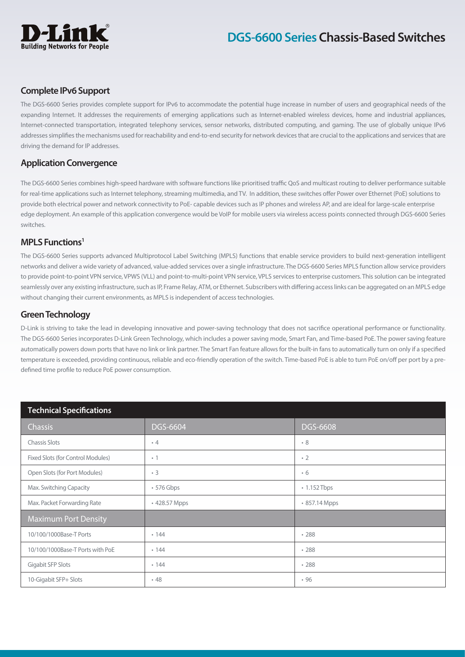

## **Complete IPv6 Support**

The DGS-6600 Series provides complete support for IPv6 to accommodate the potential huge increase in number of users and geographical needs of the expanding Internet. It addresses the requirements of emerging applications such as Internet-enabled wireless devices, home and industrial appliances, Internet-connected transportation, integrated telephony services, sensor networks, distributed computing, and gaming. The use of globally unique IPv6 addresses simplifies the mechanisms used for reachability and end-to-end security for network devices that are crucial to the applications and services that are driving the demand for IP addresses.

#### **Application Convergence**

The DGS-6600 Series combines high-speed hardware with software functions like prioritised traffic QoS and multicast routing to deliver performance suitable for real-time applications such as Internet telephony, streaming multimedia, and TV. In addition, these switches offer Power over Ethernet (PoE) solutions to provide both electrical power and network connectivity to PoE- capable devices such as IP phones and wireless AP, and are ideal for large-scale enterprise edge deployment. An example of this application convergence would be VoIP for mobile users via wireless access points connected through DGS-6600 Series switches.

## **MPLS Functions1**

The DGS-6600 Series supports advanced Multiprotocol Label Switching (MPLS) functions that enable service providers to build next-generation intelligent networks and deliver a wide variety of advanced, value-added services over a single infrastructure. The DGS-6600 Series MPLS function allow service providers to provide point-to-point VPN service, VPWS (VLL) and point-to-multi-point VPN service, VPLS services to enterprise customers. This solution can be integrated seamlessly over any existing infrastructure, such as IP, Frame Relay, ATM, or Ethernet. Subscribers with differing access links can be aggregated on an MPLS edge without changing their current environments, as MPLS is independent of access technologies.

## **Green Technology**

D-Link is striving to take the lead in developing innovative and power-saving technology that does not sacrifice operational performance or functionality. The DGS-6600 Series incorporates D-Link Green Technology, which includes a power saving mode, Smart Fan, and Time-based PoE. The power saving feature automatically powers down ports that have no link or link partner. The Smart Fan feature allows for the built-in fans to automatically turn on only if a specified temperature is exceeded, providing continuous, reliable and eco-friendly operation of the switch. Time-based PoE is able to turn PoE on/off per port by a predefined time profile to reduce PoE power consumption.

| <b>Technical Specifications</b>   |               |                 |
|-----------------------------------|---------------|-----------------|
| Chassis                           | DGS-6604      | <b>DGS-6608</b> |
| <b>Chassis Slots</b>              | $\cdot$ 4     | $\cdot$ 8       |
| Fixed Slots (for Control Modules) | $\cdot$ 1     | $\cdot$ 2       |
| Open Slots (for Port Modules)     | $\cdot$ 3     | $\cdot 6$       |
| Max. Switching Capacity           | • 576 Gbps    | • 1.152 Tbps    |
| Max. Packet Forwarding Rate       | • 428.57 Mpps | • 857.14 Mpps   |
| <b>Maximum Port Density</b>       |               |                 |
| 10/100/1000Base-T Ports           | .144          | .288            |
| 10/100/1000Base-T Ports with PoE  | .144          | .288            |
| Gigabit SFP Slots                 | .144          | .288            |
| 10-Gigabit SFP+ Slots             | .48           | .96             |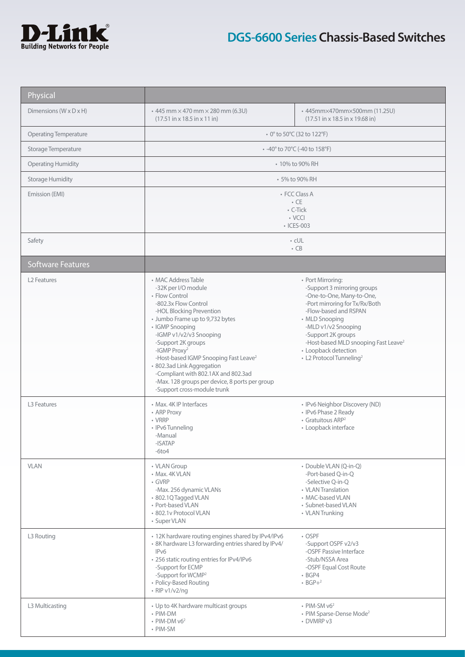

| Physical                     |                                                                                                                                                                                                                                                                                                                                                                                                                                                                |                                                                                                                                                                                                                                                                                                                             |
|------------------------------|----------------------------------------------------------------------------------------------------------------------------------------------------------------------------------------------------------------------------------------------------------------------------------------------------------------------------------------------------------------------------------------------------------------------------------------------------------------|-----------------------------------------------------------------------------------------------------------------------------------------------------------------------------------------------------------------------------------------------------------------------------------------------------------------------------|
| Dimensions (W x D x H)       | $\cdot$ 445 mm $\times$ 470 mm $\times$ 280 mm (6.3U)<br>$(17.51 \text{ in} \times 18.5 \text{ in} \times 11 \text{ in})$                                                                                                                                                                                                                                                                                                                                      | • 445mm×470mm×500mm (11.25U)<br>$(17.51 \text{ in} \times 18.5 \text{ in} \times 19.68 \text{ in})$                                                                                                                                                                                                                         |
| <b>Operating Temperature</b> | • 0° to 50°C (32 to 122°F)                                                                                                                                                                                                                                                                                                                                                                                                                                     |                                                                                                                                                                                                                                                                                                                             |
| Storage Temperature          | • -40° to 70°C (-40 to 158°F)                                                                                                                                                                                                                                                                                                                                                                                                                                  |                                                                                                                                                                                                                                                                                                                             |
| <b>Operating Humidity</b>    | • 10% to 90% RH                                                                                                                                                                                                                                                                                                                                                                                                                                                |                                                                                                                                                                                                                                                                                                                             |
| <b>Storage Humidity</b>      | • 5% to 90% RH                                                                                                                                                                                                                                                                                                                                                                                                                                                 |                                                                                                                                                                                                                                                                                                                             |
| Emission (EMI)               | • FCC Class A<br>$\cdot$ CE<br>• C-Tick<br>$\cdot$ VCCI<br>• ICES-003                                                                                                                                                                                                                                                                                                                                                                                          |                                                                                                                                                                                                                                                                                                                             |
| Safety                       |                                                                                                                                                                                                                                                                                                                                                                                                                                                                | $\cdot$ cUL<br>$\cdot$ CB                                                                                                                                                                                                                                                                                                   |
| <b>Software Features</b>     |                                                                                                                                                                                                                                                                                                                                                                                                                                                                |                                                                                                                                                                                                                                                                                                                             |
| L <sub>2</sub> Features      | • MAC Address Table<br>-32K per I/O module<br>• Flow Control<br>-802.3x Flow Control<br>-HOL Blocking Prevention<br>• Jumbo Frame up to 9,732 bytes<br>• IGMP Snooping<br>-IGMP v1/v2/v3 Snooping<br>-Support 2K groups<br>-IGMP Proxy <sup>2</sup><br>-Host-based IGMP Snooping Fast Leave <sup>2</sup><br>· 802.3ad Link Aggregation<br>-Compliant with 802.1AX and 802.3ad<br>-Max. 128 groups per device, 8 ports per group<br>-Support cross-module trunk | • Port Mirroring:<br>-Support 3 mirroring groups<br>-One-to-One, Many-to-One,<br>-Port mirroring for Tx/Rx/Both<br>-Flow-based and RSPAN<br>• MLD Snooping<br>-MLD v1/v2 Snooping<br>-Support 2K groups<br>-Host-based MLD snooping Fast Leave <sup>2</sup><br>• Loopback detection<br>• L2 Protocol Tunneling <sup>2</sup> |
| L3 Features                  | • Max. 4K IP Interfaces<br>• ARP Proxy<br>• VRRP<br>• IPv6 Tunneling<br>-Manual<br>-ISATAP<br>$-6$ to $4$                                                                                                                                                                                                                                                                                                                                                      | • IPv6 Neighbor Discovery (ND)<br>• IPv6 Phase 2 Ready<br>• Gratuitous ARP <sup>2</sup><br>· Loopback interface                                                                                                                                                                                                             |
| <b>VLAN</b>                  | • VLAN Group<br>• Max. 4K VLAN<br>• GVRP<br>-Max. 256 dynamic VLANs<br>· 802.1Q Tagged VLAN<br>• Port-based VLAN<br>• 802.1v Protocol VLAN<br>• Super VLAN                                                                                                                                                                                                                                                                                                     | · Double VLAN (Q-in-Q)<br>-Port-based Q-in-Q<br>-Selective Q-in-Q<br>• VLAN Translation<br>• MAC-based VLAN<br>· Subnet-based VLAN<br>• VLAN Trunking                                                                                                                                                                       |
| L3 Routing                   | • 12K hardware routing engines shared by IPv4/IPv6<br>• 8K hardware L3 forwarding entries shared by IPv4/<br>IP <sub>v6</sub><br>· 256 static routing entries for IPv4/IPv6<br>-Support for ECMP<br>-Support for WCMP <sup>2</sup><br>• Policy-Based Routing<br>$\cdot$ RIP v1/v2/ng                                                                                                                                                                           | • OSPF<br>-Support OSPF v2/v3<br>-OSPF Passive Interface<br>-Stub/NSSA Area<br>-OSPF Equal Cost Route<br>$\cdot$ BGP4<br>$\cdot$ BGP+2                                                                                                                                                                                      |
| L3 Multicasting              | • Up to 4K hardware multicast groups<br>• PIM-DM<br>$\cdot$ PIM-DM $v6^2$<br>• PIM-SM                                                                                                                                                                                                                                                                                                                                                                          | $\cdot$ PIM-SM $v6^2$<br>• PIM Sparse-Dense Mode <sup>2</sup><br>• DVMRP v3                                                                                                                                                                                                                                                 |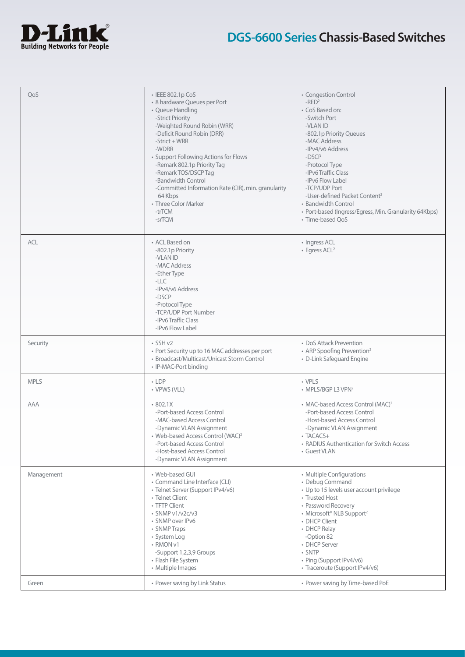

| QoS         | • IEEE 802.1p CoS                                   | • Congestion Control                                   |
|-------------|-----------------------------------------------------|--------------------------------------------------------|
|             | • 8 hardware Queues per Port                        | $-RED2$                                                |
|             | • Queue Handling                                    | • CoS Based on:                                        |
|             | -Strict Priority                                    | -Switch Port                                           |
|             | -Weighted Round Robin (WRR)                         | -VLAN ID                                               |
|             | -Deficit Round Robin (DRR)                          | -802.1p Priority Queues                                |
|             |                                                     | -MAC Address                                           |
|             | $-Strict + WRR$                                     |                                                        |
|             | -WDRR                                               | -IPv4/v6 Address                                       |
|             | • Support Following Actions for Flows               | -DSCP                                                  |
|             | -Remark 802.1p Priority Tag                         | -Protocol Type                                         |
|             | -Remark TOS/DSCP Tag                                | -IPv6 Traffic Class                                    |
|             | -Bandwidth Control                                  | -IPv6 Flow Label                                       |
|             | -Committed Information Rate (CIR), min. granularity | -TCP/UDP Port                                          |
|             | 64 Kbps                                             | -User-defined Packet Content <sup>2</sup>              |
|             | • Three Color Marker                                | • Bandwidth Control                                    |
|             | -trTCM                                              | • Port-based (Ingress/Egress, Min. Granularity 64Kbps) |
|             |                                                     |                                                        |
|             | -srTCM                                              | • Time-based QoS                                       |
|             |                                                     |                                                        |
| <b>ACL</b>  | • ACL Based on                                      | • Ingress ACL                                          |
|             | -802.1p Priority                                    | • Egress ACL <sup>2</sup>                              |
|             | -VLAN ID                                            |                                                        |
|             | -MAC Address                                        |                                                        |
|             | -Ether Type                                         |                                                        |
|             | $-LLC$                                              |                                                        |
|             | -IPv4/v6 Address                                    |                                                        |
|             | -DSCP                                               |                                                        |
|             |                                                     |                                                        |
|             | -Protocol Type                                      |                                                        |
|             | -TCP/UDP Port Number                                |                                                        |
|             | -IPv6 Traffic Class                                 |                                                        |
|             | -IPv6 Flow Label                                    |                                                        |
|             |                                                     |                                                        |
| Security    | $\cdot$ SSH v2                                      | • DoS Attack Prevention                                |
|             | • Port Security up to 16 MAC addresses per port     | • ARP Spoofing Prevention <sup>2</sup>                 |
|             | • Broadcast/Multicast/Unicast Storm Control         | • D-Link Safeguard Engine                              |
|             | • IP-MAC-Port binding                               |                                                        |
| <b>MPLS</b> | $\cdot$ LDP                                         | • VPLS                                                 |
|             | • VPWS (VLL)                                        | • MPLS/BGP L3 VPN <sup>2</sup>                         |
|             |                                                     |                                                        |
| AAA         | 802.1X                                              | • MAC-based Access Control (MAC) <sup>2</sup>          |
|             | -Port-based Access Control                          | -Port-based Access Control                             |
|             | -MAC-based Access Control                           | -Host-based Access Control                             |
|             | -Dynamic VLAN Assignment                            | -Dynamic VLAN Assignment                               |
|             | • Web-based Access Control (WAC) <sup>2</sup>       | • TACACS+                                              |
|             | -Port-based Access Control                          |                                                        |
|             |                                                     | • RADIUS Authentication for Switch Access              |
|             | -Host-based Access Control                          | • Guest VLAN                                           |
|             | -Dynamic VLAN Assignment                            |                                                        |
| Management  | • Web-based GUI                                     | • Multiple Configurations                              |
|             | • Command Line Interface (CLI)                      | • Debug Command                                        |
|             | · Telnet Server (Support IPv4/v6)                   | • Up to 15 levels user account privilege               |
|             |                                                     | • Trusted Host                                         |
|             | • Telnet Client                                     |                                                        |
|             | • TFTP Client                                       | • Password Recovery                                    |
|             | $\cdot$ SNMP v1/v2c/v3                              | • Microsoft <sup>®</sup> NLB Support <sup>2</sup>      |
|             | • SNMP over IPv6                                    | • DHCP Client                                          |
|             | • SNMP Traps                                        | • DHCP Relay                                           |
|             | • System Log                                        | -Option 82                                             |
|             | • RMON v1                                           | • DHCP Server                                          |
|             |                                                     | · SNTP                                                 |
|             |                                                     |                                                        |
|             | -Support 1,2,3,9 Groups                             |                                                        |
|             | • Flash File System                                 | • Ping (Support IPv4/v6)                               |
|             | • Multiple Images                                   | • Traceroute (Support IPv4/v6)                         |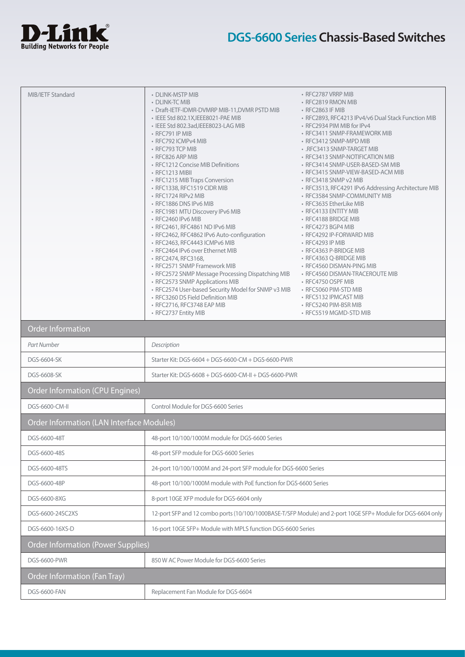

| MIB/IETF Standard                                | • DLINK-MSTP MIB                                                                  | • RFC2787 VRRP MIB                                                                                          |  |
|--------------------------------------------------|-----------------------------------------------------------------------------------|-------------------------------------------------------------------------------------------------------------|--|
|                                                  | • DLINK-TC MIB                                                                    | • RFC2819 RMON MIB                                                                                          |  |
|                                                  | • Draft-IETF-IDMR-DVMRP MIB-11, DVMR PSTD MIB                                     | • RFC2863 IF MIB                                                                                            |  |
|                                                  | • IEEE Std 802.1X, IEEE8021-PAE MIB                                               | · RFC2893, RFC4213 IPv4/v6 Dual Stack Function MIB                                                          |  |
|                                                  | · IEEE Std 802.3ad, IEEE8023-LAG MIB<br>• RFC791 IP MIB                           | • RFC2934 PIM MIB for IPv4<br>• RFC3411 SNMP-FRAMEWORK MIB                                                  |  |
|                                                  | • RFC792 ICMPv4 MIB                                                               | • RFC3412 SNMP-MPD MIB                                                                                      |  |
|                                                  | • RFC793 TCP MIB                                                                  | • .RFC3413 SNMP-TARGET MIB                                                                                  |  |
|                                                  | • RFC826 ARP MIB                                                                  | • RFC3413 SNMP-NOTIFICATION MIB                                                                             |  |
|                                                  | • RFC1212 Concise MIB Definitions                                                 | • RFC3414 SNMP-USER-BASED-SM MIB                                                                            |  |
|                                                  | • RFC1213 MIBII<br>• RFC1215 MIB Traps Conversion                                 | • RFC3415 SNMP-VIEW-BASED-ACM MIB<br>• RFC3418 SNMP v2 MIB                                                  |  |
|                                                  | • RFC1338, RFC1519 CIDR MIB                                                       | · RFC3513, RFC4291 IPv6 Addressing Architecture MIB                                                         |  |
|                                                  | • RFC1724 RIPv2 MIB                                                               | • RFC3584 SNMP-COMMUNITY MIB                                                                                |  |
|                                                  | • RFC1886 DNS IPv6 MIB                                                            | • RFC3635 EtherLike MIB                                                                                     |  |
|                                                  | • RFC1981 MTU Discovery IPv6 MIB                                                  | • RFC4133 ENTITY MIB                                                                                        |  |
|                                                  | • RFC2460 IPv6 MIB<br>· RFC2461, RFC4861 ND IPv6 MIB                              | • RFC4188 BRIDGE MIB<br>• RFC4273 BGP4 MIB                                                                  |  |
|                                                  | · RFC2462, RFC4862 IPv6 Auto-configuration                                        | • RFC4292 IP-FORWARD MIB                                                                                    |  |
|                                                  | • RFC2463, RFC4443 ICMPv6 MIB                                                     | • RFC4293 IP MIB                                                                                            |  |
|                                                  | • RFC2464 IPv6 over Ethernet MIB                                                  | • RFC4363 P-BRIDGE MIB                                                                                      |  |
|                                                  | · RFC2474, RFC3168,                                                               | • RFC4363 Q-BRIDGE MIB                                                                                      |  |
|                                                  | • RFC2571 SNMP Framework MIB<br>• RFC2572 SNMP Message Processing Dispatching MIB | • RFC4560 DISMAN-PING MIB<br>• RFC4560 DISMAN-TRACEROUTE MIB                                                |  |
|                                                  | • RFC2573 SNMP Applications MIB                                                   | • RFC4750 OSPF MIB                                                                                          |  |
|                                                  | · RFC2574 User-based Security Model for SNMP v3 MIB                               | • RFC5060 PIM-STD MIB                                                                                       |  |
|                                                  | • RFC3260 DS Field Definition MIB                                                 | • RFC5132 IPMCAST MIB                                                                                       |  |
|                                                  | • RFC2716, RFC3748 EAP MIB                                                        | • RFC5240 PIM-BSR MIB                                                                                       |  |
|                                                  | • RFC2737 Entity MIB                                                              | • RFC5519 MGMD-STD MIB                                                                                      |  |
| <b>Order Information</b>                         |                                                                                   |                                                                                                             |  |
| Part Number                                      | Description                                                                       |                                                                                                             |  |
| DGS-6604-SK                                      | Starter Kit: DGS-6604 + DGS-6600-CM + DGS-6600-PWR                                |                                                                                                             |  |
| DGS-6608-SK                                      | Starter Kit: DGS-6608 + DGS-6600-CM-II + DGS-6600-PWR                             |                                                                                                             |  |
| <b>Order Information (CPU Engines)</b>           |                                                                                   |                                                                                                             |  |
| DGS-6600-CM-II                                   | Control Module for DGS-6600 Series                                                |                                                                                                             |  |
| <b>Order Information (LAN Interface Modules)</b> |                                                                                   |                                                                                                             |  |
| DGS-6600-48T                                     | 48-port 10/100/1000M module for DGS-6600 Series                                   |                                                                                                             |  |
| DGS-6600-48S                                     | 48-port SFP module for DGS-6600 Series                                            |                                                                                                             |  |
| DGS-6600-48TS                                    | 24-port 10/100/1000M and 24-port SFP module for DGS-6600 Series                   |                                                                                                             |  |
| DGS-6600-48P                                     | 48-port 10/100/1000M module with PoE function for DGS-6600 Series                 |                                                                                                             |  |
| DGS-6600-8XG                                     | 8-port 10GE XFP module for DGS-6604 only                                          |                                                                                                             |  |
| DGS-6600-24SC2XS                                 |                                                                                   | 12-port SFP and 12 combo ports (10/100/1000BASE-T/SFP Module) and 2-port 10GE SFP+ Module for DGS-6604 only |  |
| DGS-6600-16XS-D                                  | 16-port 10GE SFP+ Module with MPLS function DGS-6600 Series                       |                                                                                                             |  |
| <b>Order Information (Power Supplies)</b>        |                                                                                   |                                                                                                             |  |
| <b>DGS-6600-PWR</b>                              | 850 W AC Power Module for DGS-6600 Series                                         |                                                                                                             |  |
| Order Information (Fan Tray)                     |                                                                                   |                                                                                                             |  |
| <b>DGS-6600-FAN</b>                              | Replacement Fan Module for DGS-6604                                               |                                                                                                             |  |